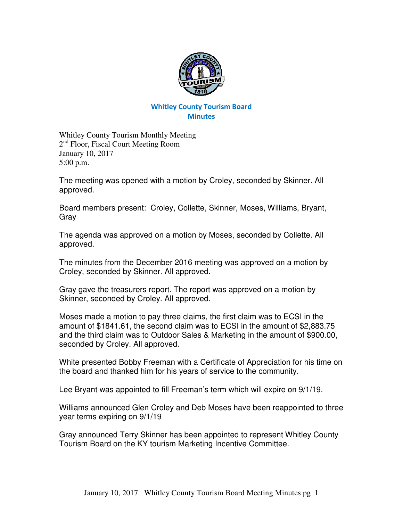

## Whitley County Tourism Board **Minutes**

Whitley County Tourism Monthly Meeting 2<sup>nd</sup> Floor, Fiscal Court Meeting Room January 10, 2017 5:00 p.m.

The meeting was opened with a motion by Croley, seconded by Skinner. All approved.

Board members present: Croley, Collette, Skinner, Moses, Williams, Bryant, Gray

The agenda was approved on a motion by Moses, seconded by Collette. All approved.

The minutes from the December 2016 meeting was approved on a motion by Croley, seconded by Skinner. All approved.

Gray gave the treasurers report. The report was approved on a motion by Skinner, seconded by Croley. All approved.

Moses made a motion to pay three claims, the first claim was to ECSI in the amount of \$1841.61, the second claim was to ECSI in the amount of \$2,883.75 and the third claim was to Outdoor Sales & Marketing in the amount of \$900.00, seconded by Croley. All approved.

White presented Bobby Freeman with a Certificate of Appreciation for his time on the board and thanked him for his years of service to the community.

Lee Bryant was appointed to fill Freeman's term which will expire on 9/1/19.

Williams announced Glen Croley and Deb Moses have been reappointed to three year terms expiring on 9/1/19

Gray announced Terry Skinner has been appointed to represent Whitley County Tourism Board on the KY tourism Marketing Incentive Committee.